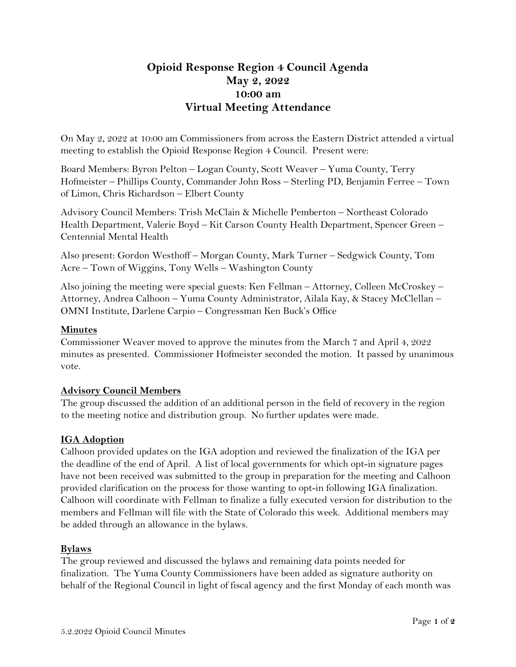# **Opioid Response Region 4 Council Agenda May 2, 2022 10:00 am Virtual Meeting Attendance**

On May 2, 2022 at 10:00 am Commissioners from across the Eastern District attended a virtual meeting to establish the Opioid Response Region 4 Council. Present were:

Board Members: Byron Pelton – Logan County, Scott Weaver – Yuma County, Terry Hofmeister – Phillips County, Commander John Ross – Sterling PD, Benjamin Ferree – Town of Limon, Chris Richardson – Elbert County

Advisory Council Members: Trish McClain & Michelle Pemberton – Northeast Colorado Health Department, Valerie Boyd – Kit Carson County Health Department, Spencer Green – Centennial Mental Health

Also present: Gordon Westhoff – Morgan County, Mark Turner – Sedgwick County, Tom Acre – Town of Wiggins, Tony Wells – Washington County

Also joining the meeting were special guests: Ken Fellman – Attorney, Colleen McCroskey – Attorney, Andrea Calhoon – Yuma County Administrator, Ailala Kay, & Stacey McClellan – OMNI Institute, Darlene Carpio – Congressman Ken Buck's Office

## **Minutes**

Commissioner Weaver moved to approve the minutes from the March 7 and April 4, 2022 minutes as presented. Commissioner Hofmeister seconded the motion. It passed by unanimous vote.

#### **Advisory Council Members**

The group discussed the addition of an additional person in the field of recovery in the region to the meeting notice and distribution group. No further updates were made.

#### **IGA Adoption**

Calhoon provided updates on the IGA adoption and reviewed the finalization of the IGA per the deadline of the end of April. A list of local governments for which opt-in signature pages have not been received was submitted to the group in preparation for the meeting and Calhoon provided clarification on the process for those wanting to opt-in following IGA finalization. Calhoon will coordinate with Fellman to finalize a fully executed version for distribution to the members and Fellman will file with the State of Colorado this week. Additional members may be added through an allowance in the bylaws.

#### **Bylaws**

The group reviewed and discussed the bylaws and remaining data points needed for finalization. The Yuma County Commissioners have been added as signature authority on behalf of the Regional Council in light of fiscal agency and the first Monday of each month was